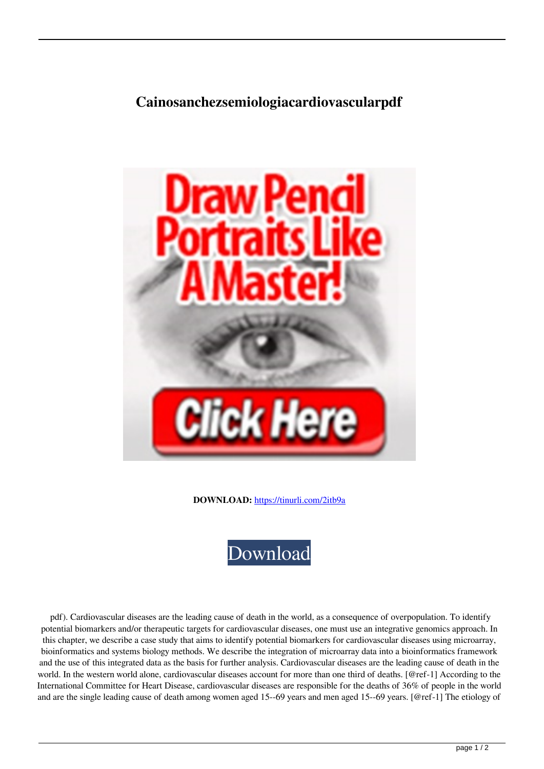## **Cainosanchezsemiologiacardiovascularpdf**



**DOWNLOAD:** <https://tinurli.com/2itb9a>



 pdf). Cardiovascular diseases are the leading cause of death in the world, as a consequence of overpopulation. To identify potential biomarkers and/or therapeutic targets for cardiovascular diseases, one must use an integrative genomics approach. In this chapter, we describe a case study that aims to identify potential biomarkers for cardiovascular diseases using microarray, bioinformatics and systems biology methods. We describe the integration of microarray data into a bioinformatics framework and the use of this integrated data as the basis for further analysis. Cardiovascular diseases are the leading cause of death in the world. In the western world alone, cardiovascular diseases account for more than one third of deaths. [@ref-1] According to the International Committee for Heart Disease, cardiovascular diseases are responsible for the deaths of 36% of people in the world and are the single leading cause of death among women aged 15--69 years and men aged 15--69 years. [@ref-1] The etiology of